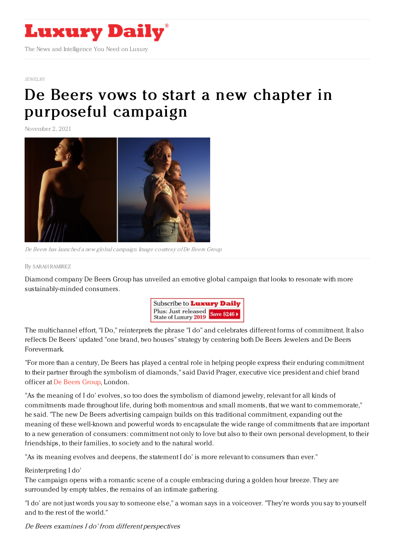

#### [JEWELRY](https://www.luxurydaily.com/category/sectors/jewelry/)

# De Beers vows to start a new chapter in [purposeful](https://www.luxurydaily.com/de-beers-i-do-campaign-2021/) campaign

November 2, 2021



De Beers has launched <sup>a</sup> new global campaign. Image courtesy ofDe Beers Group

#### By SARAH [RAMIREZ](file:///author/sarah-ramirez)

Diamond company De Beers Group has unveiled an emotive global campaign that looks to resonate with more sustainably-minded consumers.



The multichannel effort, "I Do," reinterprets the phrase "I do" and celebrates different forms of commitment. It also reflects De Beers' updated "one brand, two houses" strategy by centering both De Beers Jewelers and De Beers Forevermark.

"For more than a century, De Beers has played a central role in helping people express their enduring commitment to their partner through the symbolism of diamonds," said David Prager, executive vice president and chief brand officer at De Beers [Group](https://www.debeersgroup.com/), London.

"As the meaning of I do' evolves, so too does the symbolism of diamond jewelry, relevant for all kinds of commitments made throughout life, during both momentous and small moments, that we want to commemorate," he said. "The new De Beers advertising campaign builds on this traditional commitment, expanding out the meaning of these well-known and powerful words to encapsulate the wide range of commitments that are important to a new generation of consumers: commitment not only to love but also to their own personal development, to their friendships, to their families, to society and to the natural world.

"As its meaning evolves and deepens, the statement I do' is more relevant to consumers than ever."

### Reinterpreting I do'

The campaign opens with a romantic scene of a couple embracing during a golden hour breeze. They are surrounded by empty tables, the remains of an intimate gathering.

"I do' are not just words you say to someone else," a woman says in a voiceover. "They're words you say to yourself and to the rest of the world."

De Beers examines I do' from different perspectives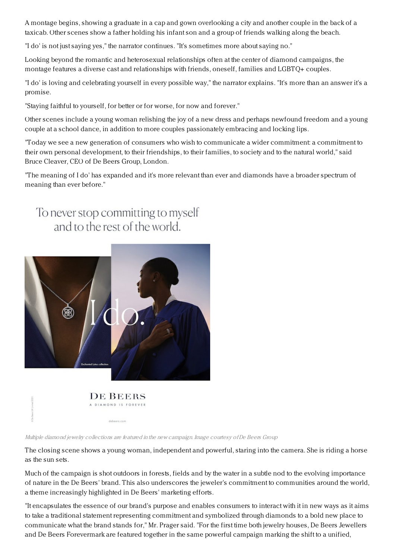A montage begins, showing a graduate in a cap and gown overlooking a city and another couple in the back of a taxicab. Other scenes show a father holding his infant son and a group of friends walking along the beach.

"I do' is not just saying yes," the narrator continues. "It's sometimes more about saying no."

Looking beyond the romantic and heterosexual relationships often at the center of diamond campaigns, the montage features a diverse cast and relationships with friends, oneself, families and LGBTQ+ couples.

"I do' is loving and celebrating yourself in every possible way," the narrator explains. "It's more than an answer it's a promise.

"Staying faithful to yourself, for better or for worse, for now and forever."

Other scenes include a young woman relishing the joy of a new dress and perhaps newfound freedom and a young couple at a school dance, in addition to more couples passionately embracing and locking lips.

"Today we see a new generation of consumers who wish to communicate a wider commitment: a commitment to their own personal development, to their friendships, to their families, to society and to the natural world," said Bruce Cleaver, CEO of De Beers Group, London.

"The meaning of I do' has expanded and it's more relevant than ever and diamonds have a broader spectrum of meaning than ever before."



A DIAMOND IS FOREVER

debeers.com

Multiple diamond jewelry collections are featured in the new campaign. Image courtesy ofDe Beers Group

The closing scene shows a young woman, independent and powerful, staring into the camera. She is riding a horse as the sun sets.

Much of the campaign is shot outdoors in forests, fields and by the water in a subtle nod to the evolving importance of nature in the De Beers' brand. This also underscores the jeweler's commitment to communities around the world, a theme increasingly highlighted in De Beers' marketing efforts.

"It encapsulates the essence of our brand's purpose and enables consumers to interact with it in new ways as it aims to take a traditional statement representing commitment and symbolized through diamonds to a bold new place to communicate what the brand stands for," Mr. Prager said. "For the first time both jewelry houses, De Beers Jewellers and De Beers Forevermark are featured together in the same powerful campaign marking the shift to a unified,

## To never stop committing to myself and to the rest of the world.